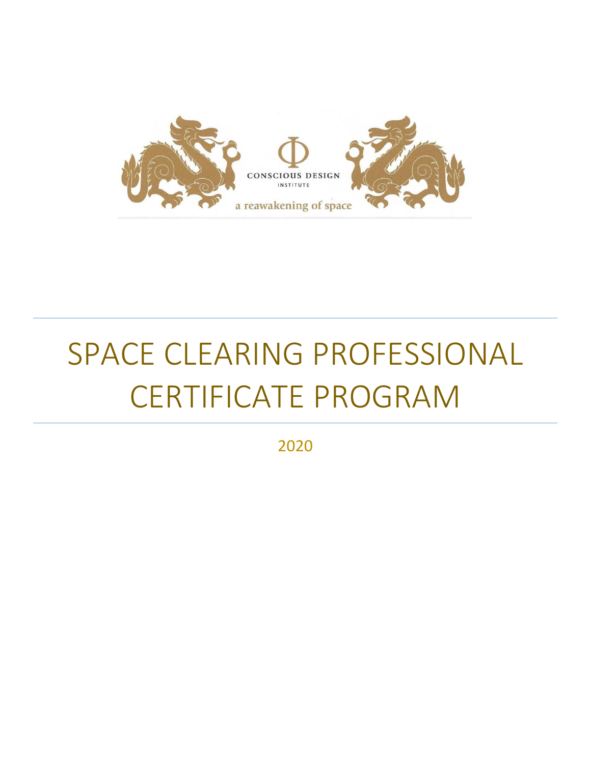

# SPACE CLEARING PROFESSIONAL CERTIFICATE PROGRAM

2020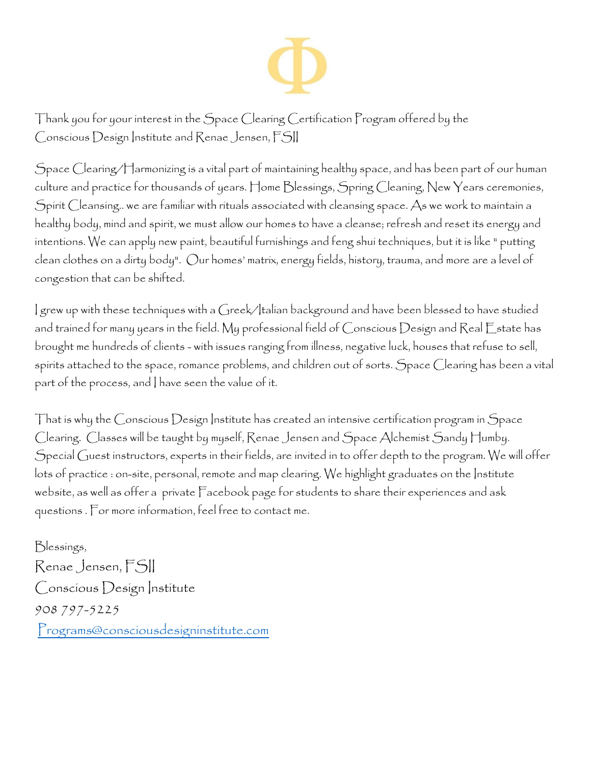

Thank you for your interest in the Space Clearing Certification Program offered by the Conscious Design Institute and Renae Jensen, FSII

Space Clearing/Harmonizing is a vital part of maintaining healthy space, and has been part of our human culture and practice for thousands of years. Home Blessings, Spring Cleaning, New Years ceremonies, Spirit Cleansing.. we are familiar with rituals associated with cleansing space. As we work to maintain a healthy body, mind and spirit, we must allow our homes to have a cleanse; refresh and reset its energy and intentions. We can apply new paint, beautiful furnishings and feng shui techniques, but it is like " putting clean clothes on a dirty body". Our homes' matrix, energy fields, history, trauma, and more are a level of congestion that can be shifted.

I grew up with these techniques with a Greek/Italian background and have been blessed to have studied and trained for many years in the field. My professional field of Conscious Design and Real Estate has brought me hundreds of clients - with issues ranging from illness, negative luck, houses that refuse to sell, spirits attached to the space, romance problems, and children out of sorts. Space Clearing has been a vital part of the process, and I have seen the value of it.

That is why the Conscious Design Institute has created an intensive certification program in Space Clearing. Classes will be taught by myself, Renae Jensen and Space Alchemist Sandy Humby. Special Guest instructors, experts in their fields, are invited in to offer depth to the program. We will offer lots of practice : on-site, personal, remote and map clearing. We highlight graduates on the Institute website, as well as offer a private Facebook page for students to share their experiences and ask questions . For more information, feel free to contact me.

Blessings, Renae Jensen, FSII Conscious Design Institute 908 797-5225 [Programs@consciousdesigninstitute.com](mailto:Programs@consciousdesigninstitute.com)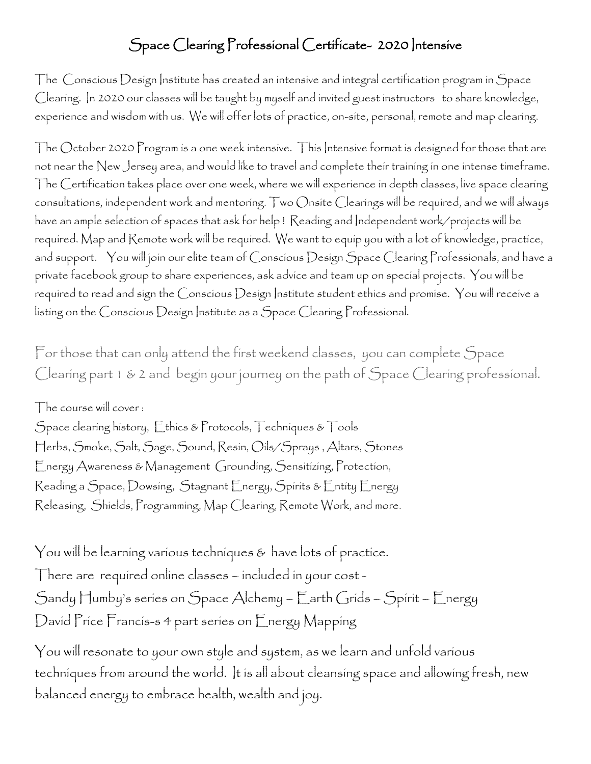#### Space Clearing Professional Certificate- 2020 Intensive

The Conscious Design Institute has created an intensive and integral certification program in Space Clearing. In 2020 our classes will be taught by myself and invited guest instructors to share knowledge, experience and wisdom with us. We will offer lots of practice, on-site, personal, remote and map clearing.

The October 2020 Program is a one week intensive. This Intensive format is designed for those that are not near the New Jersey area, and would like to travel and complete their training in one intense timeframe. The Certification takes place over one week, where we will experience in depth classes, live space clearing consultations, independent work and mentoring. Two Onsite Clearings will be required, and we will always have an ample selection of spaces that ask for help ! Reading and Independent work/projects will be required. Map and Remote work will be required. We want to equip you with a lot of knowledge, practice, and support. You will join our elite team of Conscious Design Space Clearing Professionals, and have a private facebook group to share experiences, ask advice and team up on special projects. You will be required to read and sign the Conscious Design Institute student ethics and promise. You will receive a listing on the Conscious Design Institute as a Space Clearing Professional.

For those that can only attend the first weekend classes, you can complete Space Clearing part 1 & 2 and begin your journey on the path of Space Clearing professional.

The course will cover :

Space clearing history, Ethics & Protocols, Techniques & Tools Herbs, Smoke, Salt, Sage, Sound, Resin, Oils/Sprays , Altars, Stones Energy Awareness & Management Grounding, Sensitizing, Protection, Reading a Space, Dowsing, Stagnant Energy, Spirits & Entity Energy Releasing, Shields, Programming, Map Clearing, Remote Work, and more.

You will be learning various techniques & have lots of practice. There are required online classes – included in your cost - Sandy Humby's series on Space Alchemy – Earth Grids – Spirit – Energy David Price Francis-s 4 part series on Energy Mapping

You will resonate to your own style and system, as we learn and unfold various techniques from around the world. It is all about cleansing space and allowing fresh, new balanced energy to embrace health, wealth and joy.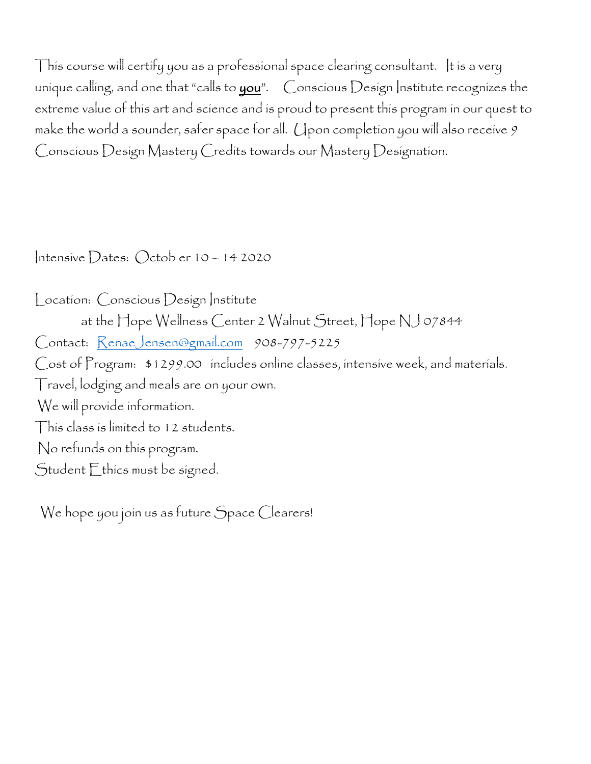This course will certify you as a professional space clearing consultant. It is a very unique calling, and one that "calls to  $you$ ".  $Connormal$  Design Institute recognizes the extreme value of this art and science and is proud to present this program in our quest to make the world a sounder, safer space for all. (I pon completion you will also receive  $9$ Conscious Design Mastery Credits towards our Mastery Designation.

Intensive Dates: Octob er 10 – 14 2020

Location: Conscious Design Institute at the Hope Wellness Center 2 Walnut Street, Hope NJ 07844 Contact: [RenaeJensen@gmail.com](mailto:RenaeJensen@gmail.com) 908-797-5225 Cost of Program: \$1299.00 includes online classes, intensive week, and materials. Travel, lodging and meals are on your own. We will provide information. This class is limited to 12 students. No refunds on this program. Student Ethics must be signed.

We hope you join us as future Space Clearers!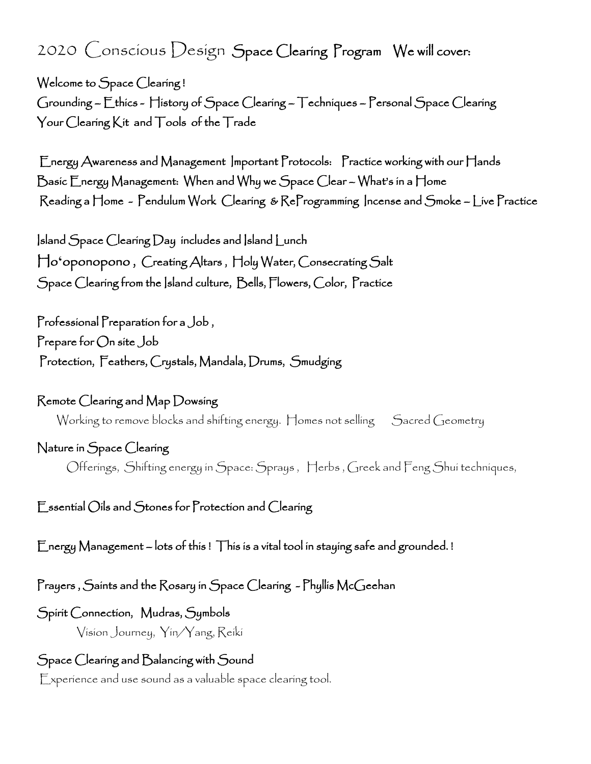# 2020 Conscious Design Space Clearing Program We will cover:

Welcome to Space Clearing ! Grounding – Ethics - History of Space Clearing – Techniques – Personal Space Clearing Your Clearing Kit and Tools of the Trade

 Energy Awareness and Management Important Protocols: Practice working with our Hands Basic Energy Management: When and Why we Space Clear – What's in a Home Reading a Home - Pendulum Work Clearing & ReProgramming Incense and Smoke – Live Practice

Island Space Clearing Day includes and Island Lunch Ho**ʻ**oponopono , Creating Altars , Holy Water, Consecrating Salt Space Clearing from the Island culture, Bells, Flowers, Color, Practice

Professional Preparation for a Job , Prepare for On site Job Protection, Feathers, Crystals, Mandala, Drums, Smudging

Remote Clearing and Map Dowsing Working to remove blocks and shifting energy. Homes not selling Sacred Geometry

Nature in Space Clearing

Offerings, Shifting energy in Space: Sprays , Herbs , Greek and Feng Shui techniques,

Essential Oils and Stones for Protection and Clearing

Energy Management – lots of this ! This is a vital tool in staying safe and grounded. !

Prayers , Saints and the Rosary in Space Clearing - Phyllis McGeehan

#### Spirit Connection, Mudras, Symbols

Vision Journey, Yin/Yang, Reiki

Space Clearing and Balancing with Sound

Experience and use sound as a valuable space clearing tool.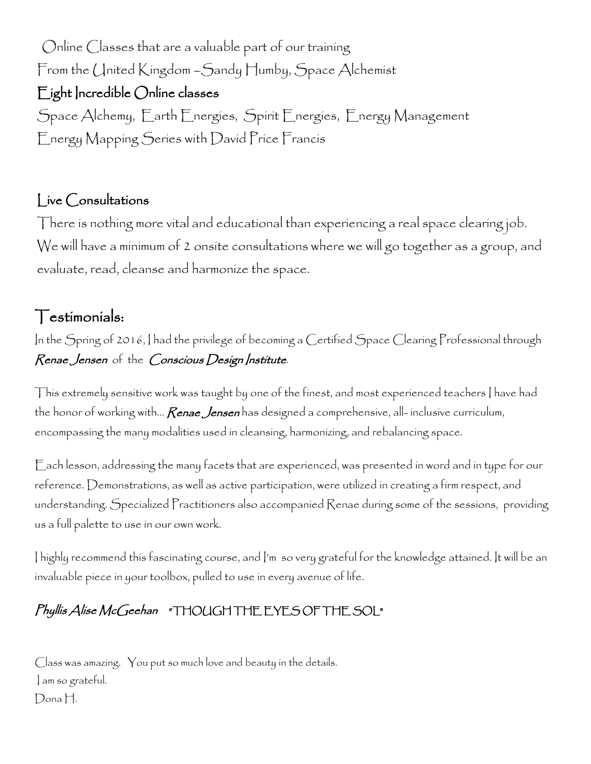Online Classes that are a valuable part of our training From the United Kingdom – Sandy Humby, Space Alchemist Eight Incredible Online classes Space Alchemy, Earth Energies, Spirit Energies, Energy Management Energy Mapping Series with David Price Francis

#### Live Consultations

There is nothing more vital and educational than experiencing a real space clearing job. We will have a minimum of 2 onsite consultations where we will go together as a group, and evaluate, read, cleanse and harmonize the space.

## Testimonials:

In the Spring of 2016, I had the privilege of becoming a Certified Space Clearing Professional through Renae Jensen of the Conscious Design Institute.

This extremely sensitive work was taught by one of the finest, and most experienced teachers I have had the honor of working with… **Renae Jensen** has designed a comprehensive, all- inclusive curriculum, encompassing the many modalities used in cleansing, harmonizing, and rebalancing space.

Each lesson, addressing the many facets that are experienced, was presented in word and in type for our reference. Demonstrations, as well as active participation, were utilized in creating a firm respect, and understanding. Specialized Practitioners also accompanied Renae during some of the sessions, providing us a full palette to use in our own work.

I highly recommend this fascinating course, and I'm so very grateful for the knowledge attained. It will be an invaluable piece in your toolbox, pulled to use in every avenue of life.

### Phyllis Alise McGeehan " THOUGH THE EYES OF THE SOL"

Class was amazing. You put so much love and beauty in the details. I am so grateful. Dona H.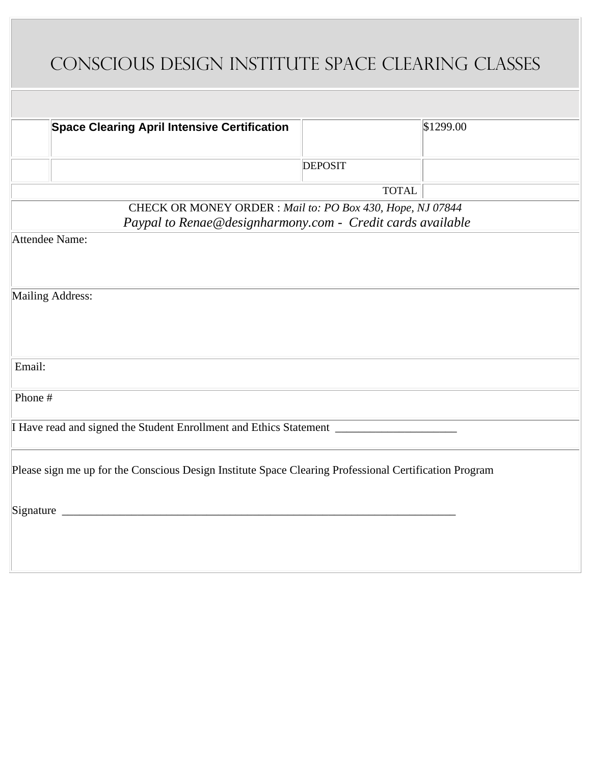# Conscious Design Institute Space Clearing Classes

| <b>Space Clearing April Intensive Certification</b>                                                                     |                | \$1299.00 |
|-------------------------------------------------------------------------------------------------------------------------|----------------|-----------|
|                                                                                                                         | <b>DEPOSIT</b> |           |
|                                                                                                                         | <b>TOTAL</b>   |           |
| CHECK OR MONEY ORDER: Mail to: PO Box 430, Hope, NJ 07844<br>Paypal to Renae@designharmony.com - Credit cards available |                |           |
| Attendee Name:                                                                                                          |                |           |
| Mailing Address:                                                                                                        |                |           |
| Email:                                                                                                                  |                |           |
| Phone #                                                                                                                 |                |           |
|                                                                                                                         |                |           |
| Please sign me up for the Conscious Design Institute Space Clearing Professional Certification Program                  |                |           |
|                                                                                                                         |                |           |